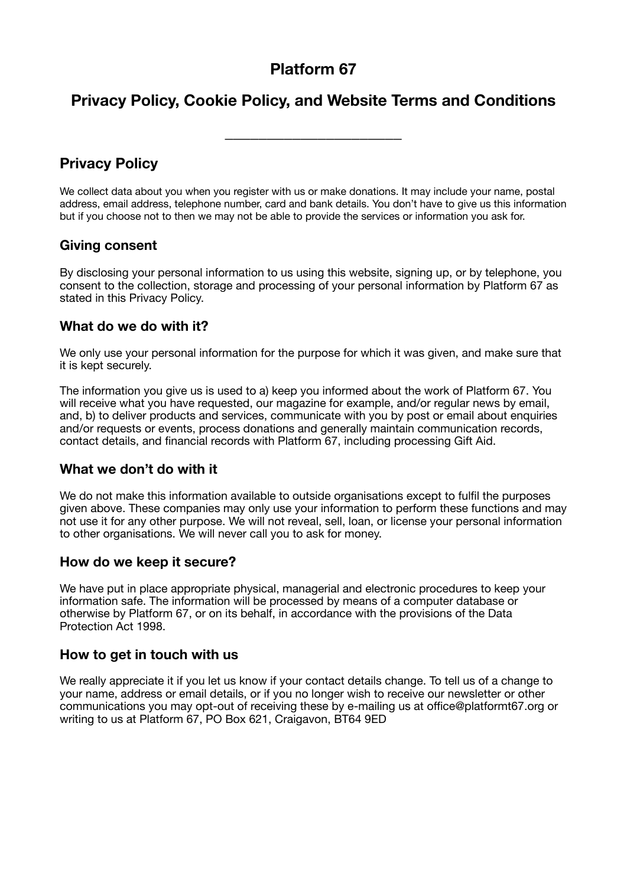# **Platform 67**

# **Privacy Policy, Cookie Policy, and Website Terms and Conditions**

\_\_\_\_\_\_\_\_\_\_\_\_\_\_\_\_\_\_\_\_\_

### **Privacy Policy**

We collect data about you when you register with us or make donations. It may include your name, postal address, email address, telephone number, card and bank details. You don't have to give us this information but if you choose not to then we may not be able to provide the services or information you ask for.

#### **Giving consent**

By disclosing your personal information to us using this website, signing up, or by telephone, you consent to the collection, storage and processing of your personal information by Platform 67 as stated in this Privacy Policy.

### **What do we do with it?**

We only use your personal information for the purpose for which it was given, and make sure that it is kept securely.

The information you give us is used to a) keep you informed about the work of Platform 67. You will receive what you have requested, our magazine for example, and/or regular news by email, and, b) to deliver products and services, communicate with you by post or email about enquiries and/or requests or events, process donations and generally maintain communication records, contact details, and financial records with Platform 67, including processing Gift Aid.

### **What we don't do with it**

We do not make this information available to outside organisations except to fulfil the purposes given above. These companies may only use your information to perform these functions and may not use it for any other purpose. We will not reveal, sell, loan, or license your personal information to other organisations. We will never call you to ask for money.

#### **How do we keep it secure?**

We have put in place appropriate physical, managerial and electronic procedures to keep your information safe. The information will be processed by means of a computer database or otherwise by Platform 67, or on its behalf, in accordance with the provisions of the Data Protection Act 1998.

#### **How to get in touch with us**

We really appreciate it if you let us know if your contact details change. To tell us of a change to your name, address or email details, or if you no longer wish to receive our newsletter or other communications you may opt-out of receiving these by e-mailing us at office@platformt67.org or writing to us at Platform 67, PO Box 621, Craigavon, BT64 9ED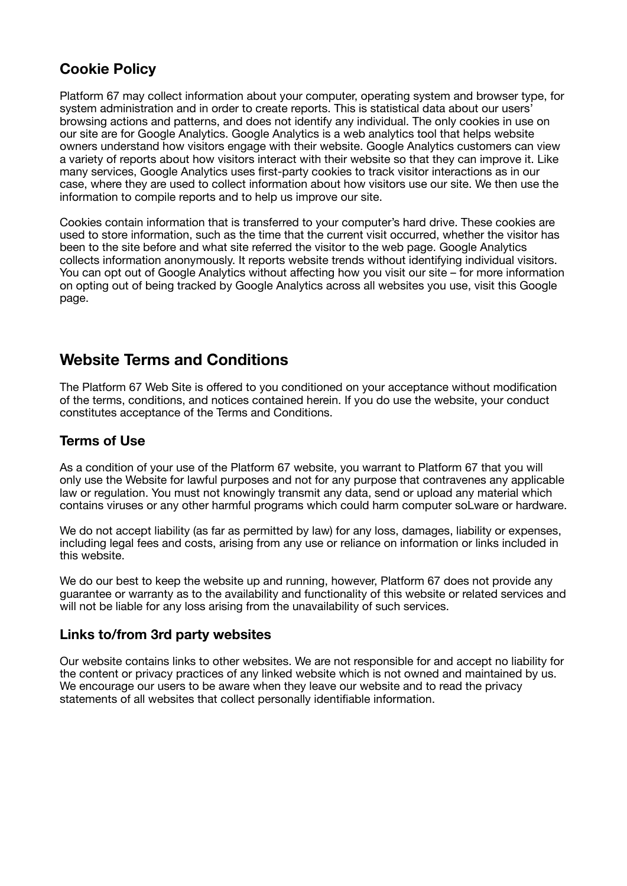### **Cookie Policy**

Platform 67 may collect information about your computer, operating system and browser type, for system administration and in order to create reports. This is statistical data about our users' browsing actions and patterns, and does not identify any individual. The only cookies in use on our site are for Google Analytics. Google Analytics is a web analytics tool that helps website owners understand how visitors engage with their website. Google Analytics customers can view a variety of reports about how visitors interact with their website so that they can improve it. Like many services, Google Analytics uses first-party cookies to track visitor interactions as in our case, where they are used to collect information about how visitors use our site. We then use the information to compile reports and to help us improve our site.

Cookies contain information that is transferred to your computer's hard drive. These cookies are used to store information, such as the time that the current visit occurred, whether the visitor has been to the site before and what site referred the visitor to the web page. Google Analytics collects information anonymously. It reports website trends without identifying individual visitors. You can opt out of Google Analytics without affecting how you visit our site – for more information on opting out of being tracked by Google Analytics across all websites you use, visit this Google page.

### **Website Terms and Conditions**

The Platform 67 Web Site is offered to you conditioned on your acceptance without modification of the terms, conditions, and notices contained herein. If you do use the website, your conduct constitutes acceptance of the Terms and Conditions.

#### **Terms of Use**

As a condition of your use of the Platform 67 website, you warrant to Platform 67 that you will only use the Website for lawful purposes and not for any purpose that contravenes any applicable law or regulation. You must not knowingly transmit any data, send or upload any material which contains viruses or any other harmful programs which could harm computer soLware or hardware.

We do not accept liability (as far as permitted by law) for any loss, damages, liability or expenses, including legal fees and costs, arising from any use or reliance on information or links included in this website.

We do our best to keep the website up and running, however, Platform 67 does not provide any guarantee or warranty as to the availability and functionality of this website or related services and will not be liable for any loss arising from the unavailability of such services.

#### **Links to/from 3rd party websites**

Our website contains links to other websites. We are not responsible for and accept no liability for the content or privacy practices of any linked website which is not owned and maintained by us. We encourage our users to be aware when they leave our website and to read the privacy statements of all websites that collect personally identifiable information.